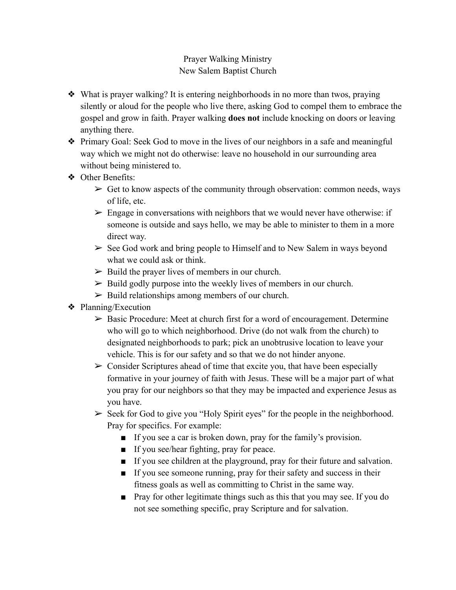## Prayer Walking Ministry New Salem Baptist Church

- ❖ What is prayer walking? It is entering neighborhoods in no more than twos, praying silently or aloud for the people who live there, asking God to compel them to embrace the gospel and grow in faith. Prayer walking **does not** include knocking on doors or leaving anything there.
- ❖ Primary Goal: Seek God to move in the lives of our neighbors in a safe and meaningful way which we might not do otherwise: leave no household in our surrounding area without being ministered to.
- ❖ Other Benefits:
	- $\triangleright$  Get to know aspects of the community through observation: common needs, ways of life, etc.
	- $\triangleright$  Engage in conversations with neighbors that we would never have otherwise: if someone is outside and says hello, we may be able to minister to them in a more direct way.
	- $\geq$  See God work and bring people to Himself and to New Salem in ways beyond what we could ask or think.
	- $\triangleright$  Build the prayer lives of members in our church.
	- $\triangleright$  Build godly purpose into the weekly lives of members in our church.
	- $\triangleright$  Build relationships among members of our church.
- ❖ Planning/Execution
	- $\triangleright$  Basic Procedure: Meet at church first for a word of encouragement. Determine who will go to which neighborhood. Drive (do not walk from the church) to designated neighborhoods to park; pick an unobtrusive location to leave your vehicle. This is for our safety and so that we do not hinder anyone.
	- $\triangleright$  Consider Scriptures ahead of time that excite you, that have been especially formative in your journey of faith with Jesus. These will be a major part of what you pray for our neighbors so that they may be impacted and experience Jesus as you have.
	- $\triangleright$  Seek for God to give you "Holy Spirit eyes" for the people in the neighborhood. Pray for specifics. For example:
		- If you see a car is broken down, pray for the family's provision.
		- If you see/hear fighting, pray for peace.
		- If you see children at the playground, pray for their future and salvation.
		- If you see someone running, pray for their safety and success in their fitness goals as well as committing to Christ in the same way.
		- Pray for other legitimate things such as this that you may see. If you do not see something specific, pray Scripture and for salvation.